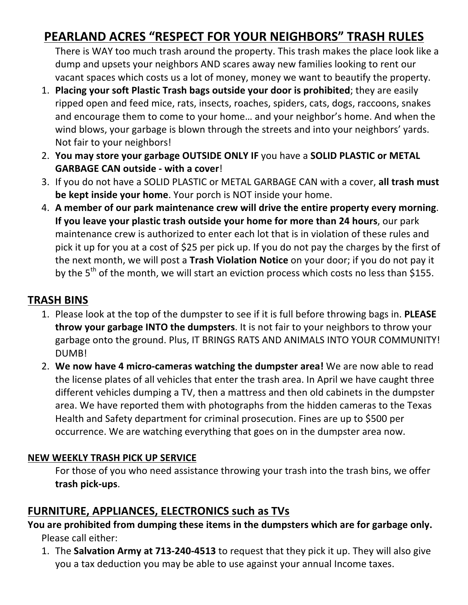# **PEARLAND ACRES "RESPECT FOR YOUR NEIGHBORS" TRASH RULES**

There is WAY too much trash around the property. This trash makes the place look like a dump and upsets your neighbors AND scares away new families looking to rent our vacant spaces which costs us a lot of money, money we want to beautify the property.

- 1. **Placing your soft Plastic Trash bags outside your door is prohibited;** they are easily ripped open and feed mice, rats, insects, roaches, spiders, cats, dogs, raccoons, snakes and encourage them to come to your home... and your neighbor's home. And when the wind blows, your garbage is blown through the streets and into your neighbors' yards. Not fair to your neighbors!
- 2. You may store your garbage OUTSIDE ONLY IF you have a SOLID PLASTIC or METAL **GARBAGE CAN outside - with a cover!**
- 3. If you do not have a SOLID PLASTIC or METAL GARBAGE CAN with a cover, all trash must **be kept inside your home**. Your porch is NOT inside your home.
- 4. A member of our park maintenance crew will drive the entire property every morning. **If you leave your plastic trash outside your home for more than 24 hours**, our park maintenance crew is authorized to enter each lot that is in violation of these rules and pick it up for you at a cost of \$25 per pick up. If you do not pay the charges by the first of the next month, we will post a Trash Violation Notice on your door; if you do not pay it by the  $5<sup>th</sup>$  of the month, we will start an eviction process which costs no less than \$155.

#### **TRASH BINS**

- 1. Please look at the top of the dumpster to see if it is full before throwing bags in. PLEASE **throw your garbage INTO the dumpsters**. It is not fair to your neighbors to throw your garbage onto the ground. Plus, IT BRINGS RATS AND ANIMALS INTO YOUR COMMUNITY! DUMB!
- 2. We now have 4 micro-cameras watching the dumpster area! We are now able to read the license plates of all vehicles that enter the trash area. In April we have caught three different vehicles dumping a TV, then a mattress and then old cabinets in the dumpster area. We have reported them with photographs from the hidden cameras to the Texas Health and Safety department for criminal prosecution. Fines are up to \$500 per occurrence. We are watching everything that goes on in the dumpster area now.

#### **NEW WEEKLY TRASH PICK UP SERVICE**

For those of you who need assistance throwing your trash into the trash bins, we offer **trash pick-ups**. 

## **FURNITURE, APPLIANCES, ELECTRONICS such as TVs**

You are prohibited from dumping these items in the dumpsters which are for garbage only. Please call either:

1. The **Salvation Army at 713-240-4513** to request that they pick it up. They will also give you a tax deduction you may be able to use against your annual Income taxes.